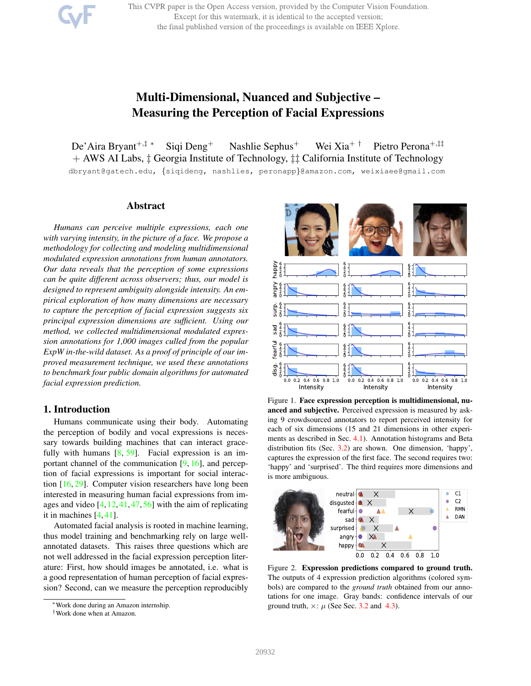This CVPR paper is the Open Access version, provided by the Computer Vision Foundation. Except for this watermark, it is identical to the accepted version; the final published version of the proceedings is available on IEEE Xplore.

# Multi-Dimensional, Nuanced and Subjective – Measuring the Perception of Facial Expressions

De'Aira Bryant<sup>+,‡</sup> \* Siqi Deng<sup>+</sup> Nashlie Sephus<sup>+</sup> Wei Xia<sup>+†</sup> Pietro Perona<sup>+,‡‡</sup> + AWS AI Labs, ‡ Georgia Institute of Technology, ‡‡ California Institute of Technology dbryant@gatech.edu, {siqideng, nashlies, peronapp}@amazon.com, weixiaee@gmail.com

# Abstract

*Humans can perceive multiple expressions, each one with varying intensity, in the picture of a face. We propose a methodology for collecting and modeling multidimensional modulated expression annotations from human annotators. Our data reveals that the perception of some expressions can be quite different across observers; thus, our model is designed to represent ambiguity alongside intensity. An empirical exploration of how many dimensions are necessary to capture the perception of facial expression suggests six principal expression dimensions are sufficient. Using our method, we collected multidimensional modulated expression annotations for 1,000 images culled from the popular ExpW in-the-wild dataset. As a proof of principle of our improved measurement technique, we used these annotations to benchmark four public domain algorithms for automated facial expression prediction.*

# 1. Introduction

Humans communicate using their body. Automating the perception of bodily and vocal expressions is necessary towards building machines that can interact gracefully with humans  $[8, 59]$ . Facial expression is an important channel of the communication  $[9, 16]$ , and perception of facial expressions is important for social interaction [16, 29]. Computer vision researchers have long been interested in measuring human facial expressions from images and video [4, 12, 41, 47, 56] with the aim of replicating it in machines [4, 41].

Automated facial analysis is rooted in machine learning, thus model training and benchmarking rely on large wellannotated datasets. This raises three questions which are not well addressed in the facial expression perception literature: First, how should images be annotated, i.e. what is a good representation of human perception of facial expression? Second, can we measure the perception reproducibly



Figure 1. Face expression perception is multidimensional, nuanced and subjective. Perceived expression is measured by asking 9 crowdsourced annotators to report perceived intensity for each of six dimensions (15 and 21 dimensions in other experiments as described in Sec. 4.1). Annotation histograms and Beta distribution fits (Sec. 3.2) are shown. One dimension, 'happy', captures the expression of the first face. The second requires two: 'happy' and 'surprised'. The third requires more dimensions and is more ambiguous.



Figure 2. Expression predictions compared to ground truth. The outputs of 4 expression prediction algorithms (colored symbols) are compared to the *ground truth* obtained from our annotations for one image. Gray bands: confidence intervals of our ground truth,  $\times$ :  $\mu$  (See Sec. 3.2 and 4.3).

<sup>∗</sup>Work done during an Amazon internship.

<sup>†</sup>Work done when at Amazon.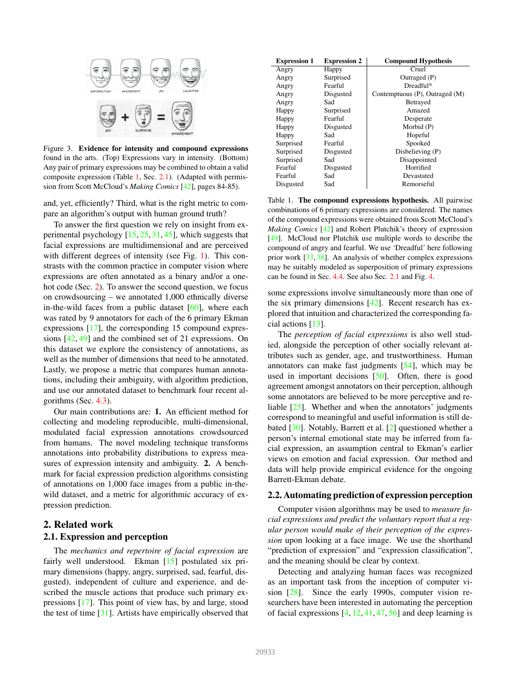

Figure 3. Evidence for intensity and compound expressions found in the arts. (Top) Expressions vary in intensity. (Bottom) Any pair of primary expressions may be combined to obtain a valid composite expression (Table 1, Sec. 2.1). (Adapted with permission from Scott McCloud's *Making Comics* [42], pages 84-85).

and, yet, efficiently? Third, what is the right metric to compare an algorithm's output with human ground truth?

To answer the first question we rely on insight from experimental psychology  $[15, 25, 31, 45]$ , which suggests that facial expressions are multidimensional and are perceived with different degrees of intensity (see Fig. 1). This constrasts with the common practice in computer vision where expressions are often annotated as a binary and/or a onehot code (Sec. 2). To answer the second question, we focus on crowdsourcing – we annotated 1,000 ethnically diverse in-the-wild faces from a public dataset  $[60]$ , where each was rated by 9 annotators for each of the 6 primary Ekman expressions [17], the corresponding 15 compound expressions [42, 49] and the combined set of 21 expressions. On this dataset we explore the consistency of annotations, as well as the number of dimensions that need to be annotated. Lastly, we propose a metric that compares human annotations, including their ambiguity, with algorithm prediction, and use our annotated dataset to benchmark four recent algorithms (Sec. 4.3).

Our main contributions are: 1. An efficient method for collecting and modeling reproducible, multi-dimensional, modulated facial expression annotations crowdsourced from humans. The novel modeling technique transforms annotations into probability distributions to express measures of expression intensity and ambiguity. 2. A benchmark for facial expression prediction algorithms consisting of annotations on 1,000 face images from a public in-thewild dataset, and a metric for algorithmic accuracy of expression prediction.

# 2. Related work

# 2.1. Expression and perception

The *mechanics and repertoire of facial expression* are fairly well understood. Ekman [15] postulated six primary dimensions (happy, angry, surprised, sad, fearful, disgusted), independent of culture and experience, and described the muscle actions that produce such primary expressions [17]. This point of view has, by and large, stood the test of time  $[31]$ . Artists have empirically observed that

| <b>Expression 1</b> | <b>Expression 2</b> | <b>Compound Hypothesis</b>     |  |  |  |  |
|---------------------|---------------------|--------------------------------|--|--|--|--|
| Angry               | Happy               | Cruel                          |  |  |  |  |
| Angry               | Surprised           | Outraged (P)                   |  |  |  |  |
| Angry               | Fearful             | Dreadful*                      |  |  |  |  |
| Angry               | Disgusted           | Contemptuous (P), Outraged (M) |  |  |  |  |
| Angry               | Sad                 | <b>Betrayed</b>                |  |  |  |  |
| Happy               | Surprised           | Amazed                         |  |  |  |  |
| Happy               | Fearful             | Desperate                      |  |  |  |  |
| Happy               | Disgusted           | Morbid (P)                     |  |  |  |  |
| Happy               | Sad                 | Hopeful                        |  |  |  |  |
| Surprised           | Fearful             | Spooked                        |  |  |  |  |
| Surprised           | Disgusted           | Disbelieving (P)               |  |  |  |  |
| Surprised           | Sad                 | Disappointed                   |  |  |  |  |
| Fearful             | Disgusted           | Horrified                      |  |  |  |  |
| Fearful             | Sad                 | Devastated                     |  |  |  |  |
| Disgusted           | Sad                 | Remorseful                     |  |  |  |  |

Table 1. The compound expressions hypothesis. All pairwise combinations of 6 primary expressions are considered. The names of the compound expressions were obtained from Scott McCloud's *Making Comics* [42] and Robert Plutchik's theory of expression [49]. McCloud nor Plutchik use multiple words to describe the compound of angry and fearful. We use 'Dreadful' here following prior work  $[33, 38]$ . An analysis of whether complex expressions may be suitably modeled as superposition of primary expressions can be found in Sec. 4.4. See also Sec. 2.1 and Fig. 4.

some expressions involve simultaneously more than one of the six primary dimensions  $[42]$ . Recent research has explored that intuition and characterized the corresponding facial actions [13].

The *perception of facial expressions* is also well studied, alongside the perception of other socially relevant attributes such as gender, age, and trustworthiness. Human annotators can make fast judgments [54], which may be used in important decisions [50]. Often, there is good agreement amongst annotators on their perception, although some annotators are believed to be more perceptive and reliable [25]. Whether and when the annotators' judgments correspond to meaningful and useful information is still debated [30]. Notably, Barrett et al. [2] questioned whether a person's internal emotional state may be inferred from facial expression, an assumption central to Ekman's earlier views on emotion and facial expression. Our method and data will help provide empirical evidence for the ongoing Barrett-Ekman debate.

### 2.2. Automating prediction of expression perception

Computer vision algorithms may be used to *measure facial expressions and predict the voluntary report that a regular person would make of their perception of the expression* upon looking at a face image. We use the shorthand "prediction of expression" and "expression classification", and the meaning should be clear by context.

Detecting and analyzing human faces was recognized as an important task from the inception of computer vision [28]. Since the early 1990s, computer vision researchers have been interested in automating the perception of facial expressions  $[4, 12, 41, 47, 56]$  and deep learning is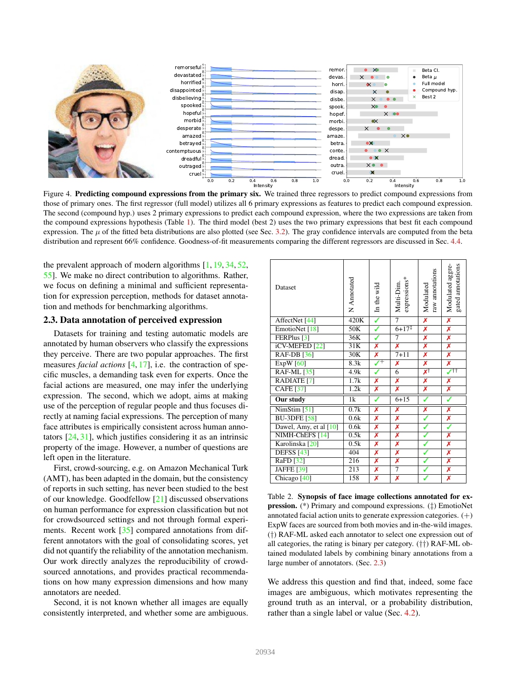

Figure 4. Predicting compound expressions from the primary six. We trained three regressors to predict compound expressions from those of primary ones. The first regressor (full model) utilizes all 6 primary expressions as features to predict each compound expression. The second (compound hyp.) uses 2 primary expressions to predict each compound expression, where the two expressions are taken from the compound expressions hypothesis (Table 1). The third model (best 2) uses the two primary expressions that best fit each compound expression. The  $\mu$  of the fitted beta distributions are also plotted (see Sec. 3.2). The gray confidence intervals are computed from the beta distribution and represent 66% confidence. Goodness-of-fit measurements comparing the different regressors are discussed in Sec. 4.4.

the prevalent approach of modern algorithms [1, 19, 34, 52, 55]. We make no direct contribution to algorithms. Rather, we focus on defining a minimal and sufficient representation for expression perception, methods for dataset annotation and methods for benchmarking algorithms.

## 2.3. Data annotation of perceived expression

Datasets for training and testing automatic models are annotated by human observers who classify the expressions they perceive. There are two popular approaches. The first measures *facial actions* [4, 17], i.e. the contraction of specific muscles, a demanding task even for experts. Once the facial actions are measured, one may infer the underlying expression. The second, which we adopt, aims at making use of the perception of regular people and thus focuses directly at naming facial expressions. The perception of many face attributes is empirically consistent across human annotators [24, 31], which justifies considering it as an intrinsic property of the image. However, a number of questions are left open in the literature.

First, crowd-sourcing, e.g. on Amazon Mechanical Turk (AMT), has been adapted in the domain, but the consistency of reports in such setting, has never been studied to the best of our knowledge. Goodfellow [21] discussed observations on human performance for expression classification but not for crowdsourced settings and not through formal experiments. Recent work [35] compared annotations from different annotators with the goal of consolidating scores, yet did not quantify the reliability of the annotation mechanism. Our work directly analyzes the reproducibility of crowdsourced annotations, and provides practical recommendations on how many expression dimensions and how many annotators are needed.

Second, it is not known whether all images are equally consistently interpreted, and whether some are ambiguous.

| Dataset                          | N Annotated | In the wild                | expressions*<br>Multi-Dim. | raw annotations<br>Modulated | Modulated aggre-<br>gated annotations |
|----------------------------------|-------------|----------------------------|----------------------------|------------------------------|---------------------------------------|
| AffectNet <sup>[44]</sup>        | 420K        | ✓                          | $\overline{7}$             | Х                            | X                                     |
| EmotioNet [18]                   | 50K         | ✓                          | $6+17^{\ddagger}$          | X                            | Х                                     |
| FERPlus <sup>[3]</sup>           | 36K         | ✓                          | 7                          | Х                            | Х                                     |
| iCV-MEFED <sup>[22]</sup>        | 31K         | Х                          | Х                          | Х                            | Х                                     |
| <b>RAF-DB</b> [36]               | 30K         | Х                          | $7 + 11$                   | Х                            | Х                                     |
| $\overline{\mathrm{ExpW}}$ [60]  | 8.3k        | $\overline{\mathcal{F}^+}$ | Х                          | Х                            | Х                                     |
| <b>RAF-ML</b> [35]               | 4.9k        | ✓                          | 6                          | XŤ                           | $\sqrt{11}$                           |
| <b>RADIATE</b> [7]               | 1.7k        | Х                          | Х                          | Х                            | Х                                     |
| <b>CAFE</b> [37]                 | 1.2k        | Х                          | X                          | Х                            | Х                                     |
| Our study                        | 1k          | ✓                          | $6 + 15$                   | ✓                            | ✓                                     |
| $\overline{\text{NimStim} [51]}$ | 0.7k        | Х                          | Х                          | Х                            | Х                                     |
| <b>BU-3DFE</b> [58]              | 0.6k        | Х                          | Х                          | ✓                            | Х                                     |
| Dawel, Amy, et al [10]           | 0.6k        | Х                          | X                          |                              | ✓                                     |
| NIMH-ChEFS [14]                  | 0.5k        | Х                          | $\overline{\textbf{x}}$    | ✓                            | $\overline{\textbf{x}}$               |
| Karolinska <sup>[20]</sup>       | 0.5k        | Х                          | Х                          | ✓                            | Х                                     |
| <b>DEFSS</b> [43]                | 404         | Х                          | Х                          | ✓                            | Х                                     |
| RaFD [32]                        | 216         | x                          | Х                          | ✓                            | $\overline{\textbf{x}}$               |
| JAFFE [39]                       | 213         | Х                          | $\overline{7}$             |                              | Х                                     |
| Chicago <sup>[40]</sup>          | 158         | X                          | X                          |                              | Х                                     |

Table 2. Synopsis of face image collections annotated for expression. (\*) Primary and compound expressions. (‡) EmotioNet annotated facial action units to generate expression categories.  $(+)$ ExpW faces are sourced from both movies and in-the-wild images. (†) RAF-ML asked each annotator to select one expression out of all categories, the rating is binary per category. (††) RAF-ML obtained modulated labels by combining binary annotations from a large number of annotators. (Sec. 2.3)

We address this question and find that, indeed, some face images are ambiguous, which motivates representing the ground truth as an interval, or a probability distribution, rather than a single label or value (Sec. 4.2).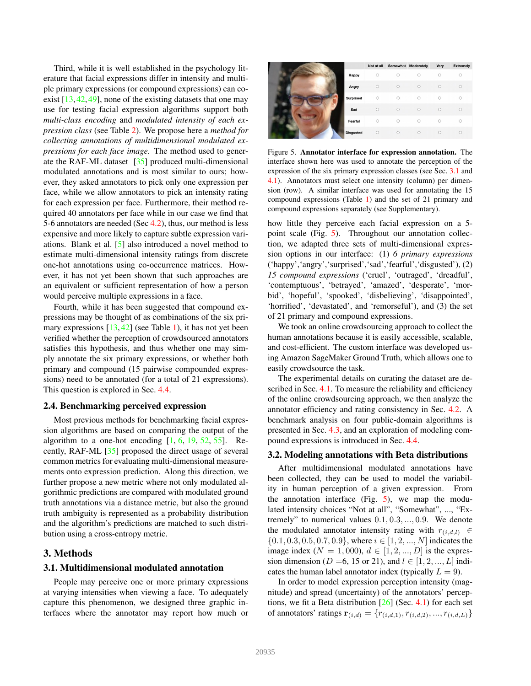Third, while it is well established in the psychology literature that facial expressions differ in intensity and multiple primary expressions (or compound expressions) can coexist  $[13, 42, 49]$ , none of the existing datasets that one may use for testing facial expression algorithms support both *multi-class encoding* and *modulated intensity of each expression class* (see Table 2). We propose here a *method for collecting annotations of multidimensional modulated expressions for each face image.* The method used to generate the RAF-ML dataset [35] produced multi-dimensional modulated annotations and is most similar to ours; however, they asked annotators to pick only one expression per face, while we allow annotators to pick an intensity rating for each expression per face. Furthermore, their method required 40 annotators per face while in our case we find that 5-6 annotators are needed (Sec 4.2), thus, our method is less expensive and more likely to capture subtle expression variations. Blank et al. [5] also introduced a novel method to estimate multi-dimensional intensity ratings from discrete one-hot annotations using co-occurrence matrices. However, it has not yet been shown that such approaches are an equivalent or sufficient representation of how a person would perceive multiple expressions in a face.

Fourth, while it has been suggested that compound expressions may be thought of as combinations of the six primary expressions  $[13, 42]$  (see Table 1), it has not yet been verified whether the perception of crowdsourced annotators satisfies this hypothesis, and thus whether one may simply annotate the six primary expressions, or whether both primary and compound (15 pairwise compounded expressions) need to be annotated (for a total of 21 expressions). This question is explored in Sec. 4.4.

### 2.4. Benchmarking perceived expression

Most previous methods for benchmarking facial expression algorithms are based on comparing the output of the algorithm to a one-hot encoding  $[1, 6, 19, 52, 55]$ . Recently, RAF-ML [35] proposed the direct usage of several common metrics for evaluating multi-dimensional measurements onto expression prediction. Along this direction, we further propose a new metric where not only modulated algorithmic predictions are compared with modulated ground truth annotations via a distance metric, but also the ground truth ambiguity is represented as a probability distribution and the algorithm's predictions are matched to such distribution using a cross-entropy metric.

## 3. Methods

## 3.1. Multidimensional modulated annotation

People may perceive one or more primary expressions at varying intensities when viewing a face. To adequately capture this phenomenon, we designed three graphic interfaces where the annotator may report how much or



Figure 5. Annotator interface for expression annotation. The interface shown here was used to annotate the perception of the expression of the six primary expression classes (see Sec. 3.1 and 4.1). Annotators must select one intensity (column) per dimension (row). A similar interface was used for annotating the 15 compound expressions (Table 1) and the set of 21 primary and compound expressions separately (see Supplementary).

how little they perceive each facial expression on a 5 point scale (Fig. 5). Throughout our annotation collection, we adapted three sets of multi-dimensional expression options in our interface: (1) *6 primary expressions* ('happy','angry','surprised','sad','fearful','disgusted'), (2) *15 compound expressions* ('cruel', 'outraged', 'dreadful', 'contemptuous', 'betrayed', 'amazed', 'desperate', 'morbid', 'hopeful', 'spooked', 'disbelieving', 'disappointed', 'horrified', 'devastated', and 'remorseful'), and (3) the set of 21 primary and compound expressions.

We took an online crowdsourcing approach to collect the human annotations because it is easily accessible, scalable, and cost-efficient. The custom interface was developed using Amazon SageMaker Ground Truth, which allows one to easily crowdsource the task.

The experimental details on curating the dataset are described in Sec. 4.1. To measure the reliability and efficiency of the online crowdsourcing approach, we then analyze the annotator efficiency and rating consistency in Sec. 4.2. A benchmark analysis on four public-domain algorithms is presented in Sec. 4.3, and an exploration of modeling compound expressions is introduced in Sec. 4.4.

## 3.2. Modeling annotations with Beta distributions

After multidimensional modulated annotations have been collected, they can be used to model the variability in human perception of a given expression. From the annotation interface (Fig. 5), we map the modulated intensity choices "Not at all", "Somewhat", ..., "Extremely" to numerical values  $0.1, 0.3, \ldots, 0.9$ . We denote the modulated annotator intensity rating with  $r_{(i,d,l)} \in$  $\{0.1, 0.3, 0.5, 0.7, 0.9\}$ , where  $i \in [1, 2, ..., N]$  indicates the image index ( $N = 1,000$ ),  $d \in [1, 2, ..., D]$  is the expression dimension ( $D = 6, 15$  or 21), and  $l \in [1, 2, ..., L]$  indicates the human label annotator index (typically  $L = 9$ ).

In order to model expression perception intensity (magnitude) and spread (uncertainty) of the annotators' perceptions, we fit a Beta distribution  $[26]$  (Sec. 4.1) for each set of annotators' ratings  $\mathbf{r}_{(i,d)} = \{r_{(i,d,1)}, r_{(i,d,2)}, ..., r_{(i,d,L)}\}$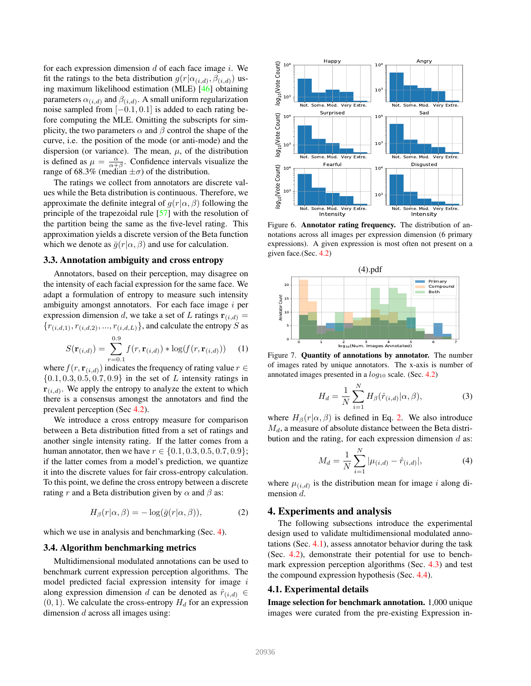for each expression dimension  $d$  of each face image  $i$ . We fit the ratings to the beta distribution  $g(r|\alpha_{(i,d)}, \beta_{(i,d)})$  using maximum likelihood estimation (MLE) [46] obtaining parameters  $\alpha_{(i,d)}$  and  $\beta_{(i,d)}$ . A small uniform regularization noise sampled from [−0.1, 0.1] is added to each rating before computing the MLE. Omitting the subscripts for simplicity, the two parameters  $\alpha$  and  $\beta$  control the shape of the curve, i.e. the position of the mode (or anti-mode) and the dispersion (or variance). The mean,  $\mu$ , of the distribution is defined as  $\mu = \frac{\alpha}{\alpha + \beta}$ . Confidence intervals visualize the range of 68.3% (median  $\pm \sigma$ ) of the distribution.

The ratings we collect from annotators are discrete values while the Beta distribution is continuous. Therefore, we approximate the definite integral of  $q(r|\alpha, \beta)$  following the principle of the trapezoidal rule [57] with the resolution of the partition being the same as the five-level rating. This approximation yields a discrete version of the Beta function which we denote as  $\overline{q}(r|\alpha, \beta)$  and use for calculation.

### 3.3. Annotation ambiguity and cross entropy

Annotators, based on their perception, may disagree on the intensity of each facial expression for the same face. We adapt a formulation of entropy to measure such intensity ambiguity amongst annotators. For each face image  $i$  per expression dimension d, we take a set of L ratings  $\mathbf{r}_{(i,d)} =$  ${r_{(i,d,1)}, r_{(i,d,2)}, \ldots, r_{(i,d,L)}}$ , and calculate the entropy S as

$$
S(\mathbf{r}_{(i,d)}) = \sum_{r=0.1}^{0.9} f(r, \mathbf{r}_{(i,d)}) * \log(f(r, \mathbf{r}_{(i,d)})) \quad (1)
$$

where  $f(r, \mathbf{r}_{(i,d)})$  indicates the frequency of rating value  $r \in$  $\{0.1, 0.3, 0.5, 0.7, 0.9\}$  in the set of L intensity ratings in  $\mathbf{r}_{(i,d)}$ . We apply the entropy to analyze the extent to which there is a consensus amongst the annotators and find the prevalent perception (Sec 4.2).

We introduce a cross entropy measure for comparison between a Beta distribution fitted from a set of ratings and another single intensity rating. If the latter comes from a human annotator, then we have  $r \in \{0.1, 0.3, 0.5, 0.7, 0.9\}$ ; if the latter comes from a model's prediction, we quantize it into the discrete values for fair cross-entropy calculation. To this point, we define the cross entropy between a discrete rating r and a Beta distribution given by  $\alpha$  and  $\beta$  as:

$$
H_{\beta}(r|\alpha, \beta) = -\log(\bar{g}(r|\alpha, \beta)), \tag{2}
$$

which we use in analysis and benchmarking (Sec. 4).

## 3.4. Algorithm benchmarking metrics

Multidimensional modulated annotations can be used to benchmark current expression perception algorithms. The model predicted facial expression intensity for image i along expression dimension d can be denoted as  $\hat{r}_{(i,d)} \in$  $(0, 1)$ . We calculate the cross-entropy  $H_d$  for an expression dimension d across all images using:



Figure 6. Annotator rating frequency. The distribution of annotations across all images per expression dimension (6 primary expressions). A given expression is most often not present on a given face.(Sec. 4.2)



Figure 7. Quantity of annotations by annotator. The number of images rated by unique annotators. The x-axis is number of annotated images presented in a  $log_{10}$  scale. (Sec. 4.2)

$$
H_d = \frac{1}{N} \sum_{i=1}^{N} H_{\beta}(\hat{r}_{(i,d)} | \alpha, \beta), \tag{3}
$$

where  $H_\beta(r|\alpha, \beta)$  is defined in Eq. 2. We also introduce  $M_d$ , a measure of absolute distance between the Beta distribution and the rating, for each expression dimension  $d$  as:

$$
M_d = \frac{1}{N} \sum_{i=1}^{N} |\mu_{(i,d)} - \hat{r}_{(i,d)}|,
$$
 (4)

where  $\mu_{(i,d)}$  is the distribution mean for image i along dimension d.

## 4. Experiments and analysis

The following subsections introduce the experimental design used to validate multidimensional modulated annotations (Sec. 4.1), assess annotator behavior during the task (Sec. 4.2), demonstrate their potential for use to benchmark expression perception algorithms (Sec. 4.3) and test the compound expression hypothesis (Sec. 4.4).

#### 4.1. Experimental details

Image selection for benchmark annotation. 1,000 unique images were curated from the pre-existing Expression in-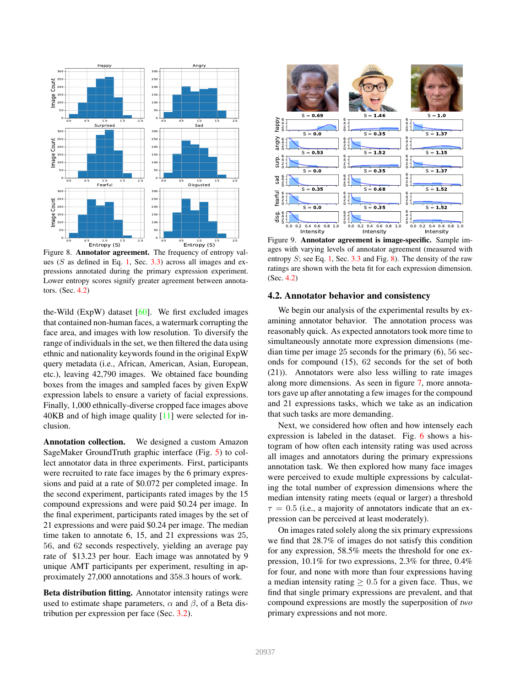

Figure 8. Annotator agreement. The frequency of entropy values ( $S$  as defined in Eq. 1, Sec. 3.3) across all images and expressions annotated during the primary expression experiment. Lower entropy scores signify greater agreement between annotators. (Sec. 4.2)

the-Wild ( $ExpW$ ) dataset  $[60]$ . We first excluded images that contained non-human faces, a watermark corrupting the face area, and images with low resolution. To diversify the range of individuals in the set, we then filtered the data using ethnic and nationality keywords found in the original ExpW query metadata (i.e., African, American, Asian, European, etc.), leaving 42,790 images. We obtained face bounding boxes from the images and sampled faces by given ExpW expression labels to ensure a variety of facial expressions. Finally, 1,000 ethnically-diverse cropped face images above 40KB and of high image quality [11] were selected for inclusion.

Annotation collection. We designed a custom Amazon SageMaker GroundTruth graphic interface (Fig. 5) to collect annotator data in three experiments. First, participants were recruited to rate face images by the 6 primary expressions and paid at a rate of \$0.072 per completed image. In the second experiment, participants rated images by the 15 compound expressions and were paid \$0.24 per image. In the final experiment, participants rated images by the set of 21 expressions and were paid \$0.24 per image. The median time taken to annotate 6, 15, and 21 expressions was 25, 56, and 62 seconds respectively, yielding an average pay rate of \$13.23 per hour. Each image was annotated by 9 unique AMT participants per experiment, resulting in approximately 27,000 annotations and 358.3 hours of work.

Beta distribution fitting. Annotator intensity ratings were used to estimate shape parameters,  $\alpha$  and  $\beta$ , of a Beta distribution per expression per face (Sec. 3.2).



Figure 9. Annotator agreement is image-specific. Sample images with varying levels of annotator agreement (measured with entropy  $S$ ; see Eq. 1, Sec. 3.3 and Fig. 8). The density of the raw ratings are shown with the beta fit for each expression dimension. (Sec. 4.2)

#### 4.2. Annotator behavior and consistency

We begin our analysis of the experimental results by examining annotator behavior. The annotation process was reasonably quick. As expected annotators took more time to simultaneously annotate more expression dimensions (median time per image 25 seconds for the primary (6), 56 seconds for compound (15), 62 seconds for the set of both (21)). Annotators were also less willing to rate images along more dimensions. As seen in figure 7, more annotators gave up after annotating a few images for the compound and 21 expressions tasks, which we take as an indication that such tasks are more demanding.

Next, we considered how often and how intensely each expression is labeled in the dataset. Fig. 6 shows a histogram of how often each intensity rating was used across all images and annotators during the primary expressions annotation task. We then explored how many face images were perceived to exude multiple expressions by calculating the total number of expression dimensions where the median intensity rating meets (equal or larger) a threshold  $\tau = 0.5$  (i.e., a majority of annotators indicate that an expression can be perceived at least moderately).

On images rated solely along the six primary expressions we find that 28.7% of images do not satisfy this condition for any expression, 58.5% meets the threshold for one expression, 10.1% for two expressions, 2.3% for three, 0.4% for four, and none with more than four expressions having a median intensity rating  $\geq 0.5$  for a given face. Thus, we find that single primary expressions are prevalent, and that compound expressions are mostly the superposition of *two* primary expressions and not more.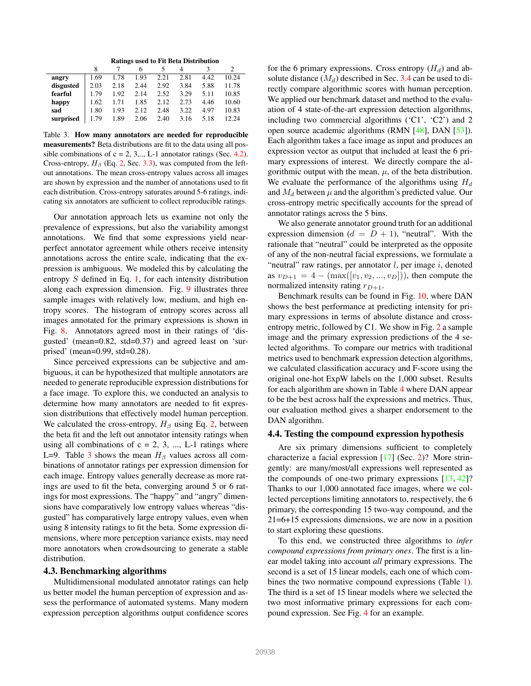| <b>Ratings used to Fit Beta Distribution</b> |  |  |  |  |  |
|----------------------------------------------|--|--|--|--|--|
|----------------------------------------------|--|--|--|--|--|

| angry     | 1.69 | 1.78 | 1.93 | 2.21 | 2.81 | 4.42 | 10.24 |
|-----------|------|------|------|------|------|------|-------|
| disgusted | 2.03 | 2.18 | 2.44 | 2.92 | 3.84 | 5.88 | 11.78 |
| fearful   | 1.79 | 1.92 | 2.14 | 2.52 | 3.29 | 5.11 | 10.85 |
| happy     | 1.62 | 1.71 | 1.85 | 2.12 | 2.73 | 4.46 | 10.60 |
| sad       | 1.80 | 1.93 | 2.12 | 2.48 | 3.22 | 4.97 | 10.83 |
| surprised | 1.79 | 1.89 | 2.06 | 2.40 | 3.16 | 5.18 | 12.24 |

Table 3. How many annotators are needed for reproducible measurements? Beta distributions are fit to the data using all possible combinations of  $c = 2, 3, \ldots$ , L-1 annotator ratings (Sec. 4.2). Cross-entropy,  $H_\beta$  (Eq. 2, Sec. 3.3), was computed from the leftout annotations. The mean cross-entropy values across all images are shown by expression and the number of annotations used to fit each distribution. Cross-entropy saturates around 5-6 ratings, indicating six annotators are sufficient to collect reproducible ratings.

Our annotation approach lets us examine not only the prevalence of expressions, but also the variability amongst annotations. We find that some expressions yield nearperfect annotator agreement while others receive intensity annotations across the entire scale, indicating that the expression is ambiguous. We modeled this by calculating the entropy S defined in Eq. 1, for each intensity distribution along each expression dimension. Fig. 9 illustrates three sample images with relatively low, medium, and high entropy scores. The histogram of entropy scores across all images annotated for the primary expressions is shown in Fig. 8. Annotators agreed most in their ratings of 'disgusted' (mean=0.82, std=0.37) and agreed least on 'surprised' (mean=0.99, std=0.28).

Since perceived expressions can be subjective and ambiguous, it can be hypothesized that multiple annotators are needed to generate reproducible expression distributions for a face image. To explore this, we conducted an analysis to determine how many annotators are needed to fit expression distributions that effectively model human perception. We calculated the cross-entropy,  $H_\beta$  using Eq. 2, between the beta fit and the left out annotator intensity ratings when using all combinations of  $c = 2, 3, \dots, L$ -1 ratings where L=9. Table 3 shows the mean  $H_\beta$  values across all combinations of annotator ratings per expression dimension for each image. Entropy values generally decrease as more ratings are used to fit the beta, converging around 5 or 6 ratings for most expressions. The "happy" and "angry" dimensions have comparatively low entropy values whereas "disgusted" has comparatively large entropy values, even when using 8 intensity ratings to fit the beta. Some expression dimensions, where more perception variance exists, may need more annotators when crowdsourcing to generate a stable distribution.

#### 4.3. Benchmarking algorithms

Multidimensional modulated annotator ratings can help us better model the human perception of expression and assess the performance of automated systems. Many modern expression perception algorithms output confidence scores

for the 6 primary expressions. Cross entropy  $(H_d)$  and absolute distance  $(M_d)$  described in Sec. 3.4 can be used to directly compare algorithmic scores with human perception. We applied our benchmark dataset and method to the evaluation of 4 state-of-the-art expression detection algorithms, including two commercial algorithms  $(C1', 'C2')$  and 2 open source academic algorithms (RMN [48], DAN [53]). Each algorithm takes a face image as input and produces an expression vector as output that included at least the 6 primary expressions of interest. We directly compare the algorithmic output with the mean,  $\mu$ , of the beta distribution. We evaluate the performance of the algorithms using  $H_d$ and  $M_d$  between  $\mu$  and the algorithm's predicted value. Our cross-entropy metric specifically accounts for the spread of annotator ratings across the 5 bins.

We also generate annotator ground truth for an additional expression dimension  $(d = D + 1)$ , "neutral". With the rationale that "neutral" could be interpreted as the opposite of any of the non-neutral facial expressions, we formulate a "neutral" raw ratings, per annotator  $l$ , per image  $i$ , denoted as  $v_{D+1} = 4 - (max([v_1, v_2, ..., v_D]))$ , then compute the normalized intensity rating  $r_{D+1}$ .

Benchmark results can be found in Fig. 10, where DAN shows the best performance at predicting intensity for primary expressions in terms of absolute distance and crossentropy metric, followed by C1. We show in Fig. 2 a sample image and the primary expression predictions of the 4 selected algorithms. To compare our metrics with traditional metrics used to benchmark expression detection algorithms, we calculated classification accuracy and F-score using the original one-hot ExpW labels on the 1,000 subset. Results for each algorithm are shown in Table 4 where DAN appear to be the best across half the expressions and metrics. Thus, our evaluation method gives a sharper endorsement to the DAN algorithm.

#### 4.4. Testing the compound expression hypothesis

Are six primary dimensions sufficient to completely characterize a facial expression [17] (Sec. 2)? More stringently: are many/most/all expressions well represented as the compounds of one-two primary expressions  $[13, 42]$ ? Thanks to our 1,000 annotated face images, where we collected perceptions limiting annotators to, respectively, the 6 primary, the corresponding 15 two-way compound, and the 21=6+15 expressions dimensions, we are now in a position to start exploring these questions.

To this end, we constructed three algorithms to *infer compound expressions from primary ones*. The first is a linear model taking into account *all* primary expressions. The second is a set of 15 linear models, each one of which combines the two normative compound expressions (Table 1). The third is a set of 15 linear models where we selected the two most informative primary expressions for each compound expression. See Fig. 4 for an example.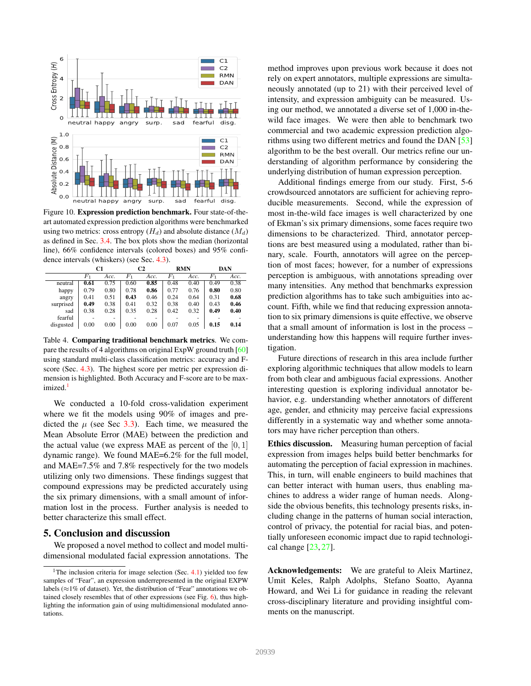

Figure 10. Expression prediction benchmark. Four state-of-theart automated expression prediction algorithms were benchmarked using two metrics: cross entropy  $(H_d)$  and absolute distance  $(M_d)$ as defined in Sec. 3.4. The box plots show the median (horizontal line), 66% confidence intervals (colored boxes) and 95% confidence intervals (whiskers) (see Sec. 4.3).

|           | C1   |      | C <sub>2</sub> |      | <b>RMN</b> |      | DAN     |      |
|-----------|------|------|----------------|------|------------|------|---------|------|
|           | F1   | Acc. | $F_{1}$        | Acc. | $_{F_1}$   | Acc. | $F_{1}$ | Acc. |
| neutral   | 0.61 | 0.75 | 0.60           | 0.85 | 0.48       | 0.40 | 0.49    | 0.38 |
| happy     | 0.79 | 0.80 | 0.78           | 0.86 | 0.77       | 0.76 | 0.80    | 0.80 |
| angry     | 0.41 | 0.51 | 0.43           | 0.46 | 0.24       | 0.64 | 0.31    | 0.68 |
| surprised | 0.49 | 0.38 | 0.41           | 0.32 | 0.38       | 0.40 | 0.43    | 0.46 |
| sad       | 0.38 | 0.28 | 0.35           | 0.28 | 0.42       | 0.32 | 0.49    | 0.40 |
| fearful   |      | ٠    |                | ۰    |            | ۰    |         |      |
| disgusted | 0.00 | 0.00 | 0.00           | 0.00 | 0.07       | 0.05 | 0.15    | 0.14 |

Table 4. Comparing traditional benchmark metrics. We compare the results of 4 algorithms on original ExpW ground truth [60] using standard multi-class classification metrics: accuracy and Fscore (Sec. 4.3). The highest score per metric per expression dimension is highlighted. Both Accuracy and F-score are to be maximized.<sup>1</sup>

We conducted a 10-fold cross-validation experiment where we fit the models using 90% of images and predicted the  $\mu$  (see Sec 3.3). Each time, we measured the Mean Absolute Error (MAE) between the prediction and the actual value (we express MAE as percent of the  $[0, 1]$ dynamic range). We found MAE=6.2% for the full model, and MAE=7.5% and 7.8% respectively for the two models utilizing only two dimensions. These findings suggest that compound expressions may be predicted accurately using the six primary dimensions, with a small amount of information lost in the process. Further analysis is needed to better characterize this small effect.

# 5. Conclusion and discussion

We proposed a novel method to collect and model multidimensional modulated facial expression annotations. The method improves upon previous work because it does not rely on expert annotators, multiple expressions are simultaneously annotated (up to 21) with their perceived level of intensity, and expression ambiguity can be measured. Using our method, we annotated a diverse set of 1,000 in-thewild face images. We were then able to benchmark two commercial and two academic expression prediction algorithms using two different metrics and found the DAN [53] algorithm to be the best overall. Our metrics refine our understanding of algorithm performance by considering the underlying distribution of human expression perception.

Additional findings emerge from our study. First, 5-6 crowdsourced annotators are sufficient for achieving reproducible measurements. Second, while the expression of most in-the-wild face images is well characterized by one of Ekman's six primary dimensions, some faces require two dimensions to be characterized. Third, annotator perceptions are best measured using a modulated, rather than binary, scale. Fourth, annotators will agree on the perception of most faces; however, for a number of expressions perception is ambiguous, with annotations spreading over many intensities. Any method that benchmarks expression prediction algorithms has to take such ambiguities into account. Fifth, while we find that reducing expression annotation to six primary dimensions is quite effective, we observe that a small amount of information is lost in the process – understanding how this happens will require further investigation.

Future directions of research in this area include further exploring algorithmic techniques that allow models to learn from both clear and ambiguous facial expressions. Another interesting question is exploring individual annotator behavior, e.g. understanding whether annotators of different age, gender, and ethnicity may perceive facial expressions differently in a systematic way and whether some annotators may have richer perception than others.

Ethics discussion. Measuring human perception of facial expression from images helps build better benchmarks for automating the perception of facial expression in machines. This, in turn, will enable engineers to build machines that can better interact with human users, thus enabling machines to address a wider range of human needs. Alongside the obvious benefits, this technology presents risks, including change in the patterns of human social interaction, control of privacy, the potential for racial bias, and potentially unforeseen economic impact due to rapid technological change [23, 27].

Acknowledgements: We are grateful to Aleix Martinez, Umit Keles, Ralph Adolphs, Stefano Soatto, Ayanna Howard, and Wei Li for guidance in reading the relevant cross-disciplinary literature and providing insightful comments on the manuscript.

<sup>&</sup>lt;sup>1</sup>The inclusion criteria for image selection (Sec.  $4.1$ ) yielded too few samples of "Fear", an expression underrepresented in the original EXPW labels ( $\approx$ 1% of dataset). Yet, the distribution of "Fear" annotations we obtained closely resembles that of other expressions (see Fig. 6), thus highlighting the information gain of using multidimensional modulated annotations.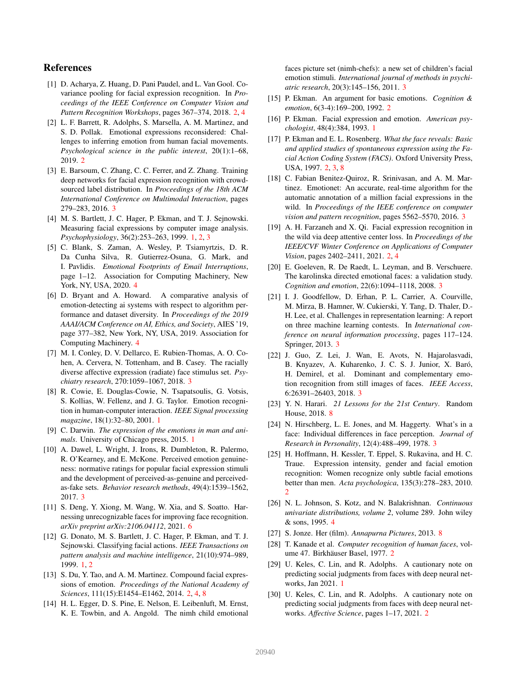# References

- [1] D. Acharya, Z. Huang, D. Pani Paudel, and L. Van Gool. Covariance pooling for facial expression recognition. In *Proceedings of the IEEE Conference on Computer Vision and Pattern Recognition Workshops*, pages 367–374, 2018. 2, 4
- [2] L. F. Barrett, R. Adolphs, S. Marsella, A. M. Martinez, and S. D. Pollak. Emotional expressions reconsidered: Challenges to inferring emotion from human facial movements. *Psychological science in the public interest*, 20(1):1–68, 2019. 2
- [3] E. Barsoum, C. Zhang, C. C. Ferrer, and Z. Zhang. Training deep networks for facial expression recognition with crowdsourced label distribution. In *Proceedings of the 18th ACM International Conference on Multimodal Interaction*, pages 279–283, 2016. 3
- [4] M. S. Bartlett, J. C. Hager, P. Ekman, and T. J. Sejnowski. Measuring facial expressions by computer image analysis. *Psychophysiology*, 36(2):253–263, 1999. 1, 2, 3
- [5] C. Blank, S. Zaman, A. Wesley, P. Tsiamyrtzis, D. R. Da Cunha Silva, R. Gutierrez-Osuna, G. Mark, and I. Pavlidis. *Emotional Footprints of Email Interruptions*, page 1–12. Association for Computing Machinery, New York, NY, USA, 2020. 4
- [6] D. Bryant and A. Howard. A comparative analysis of emotion-detecting ai systems with respect to algorithm performance and dataset diversity. In *Proceedings of the 2019 AAAI/ACM Conference on AI, Ethics, and Society*, AIES '19, page 377–382, New York, NY, USA, 2019. Association for Computing Machinery. 4
- [7] M. I. Conley, D. V. Dellarco, E. Rubien-Thomas, A. O. Cohen, A. Cervera, N. Tottenham, and B. Casey. The racially diverse affective expression (radiate) face stimulus set. *Psychiatry research*, 270:1059–1067, 2018. 3
- [8] R. Cowie, E. Douglas-Cowie, N. Tsapatsoulis, G. Votsis, S. Kollias, W. Fellenz, and J. G. Taylor. Emotion recognition in human-computer interaction. *IEEE Signal processing magazine*, 18(1):32–80, 2001. 1
- [9] C. Darwin. *The expression of the emotions in man and animals*. University of Chicago press, 2015. 1
- [10] A. Dawel, L. Wright, J. Irons, R. Dumbleton, R. Palermo, R. O'Kearney, and E. McKone. Perceived emotion genuineness: normative ratings for popular facial expression stimuli and the development of perceived-as-genuine and perceivedas-fake sets. *Behavior research methods*, 49(4):1539–1562, 2017. 3
- [11] S. Deng, Y. Xiong, M. Wang, W. Xia, and S. Soatto. Harnessing unrecognizable faces for improving face recognition. *arXiv preprint arXiv:2106.04112*, 2021. 6
- [12] G. Donato, M. S. Bartlett, J. C. Hager, P. Ekman, and T. J. Sejnowski. Classifying facial actions. *IEEE Transactions on pattern analysis and machine intelligence*, 21(10):974–989, 1999. 1, 2
- [13] S. Du, Y. Tao, and A. M. Martinez. Compound facial expressions of emotion. *Proceedings of the National Academy of Sciences*, 111(15):E1454–E1462, 2014. 2, 4, 8
- [14] H. L. Egger, D. S. Pine, E. Nelson, E. Leibenluft, M. Ernst, K. E. Towbin, and A. Angold. The nimh child emotional

faces picture set (nimh-chefs): a new set of children's facial emotion stimuli. *International journal of methods in psychiatric research*, 20(3):145–156, 2011. 3

- [15] P. Ekman. An argument for basic emotions. *Cognition & emotion*, 6(3-4):169–200, 1992. 2
- [16] P. Ekman. Facial expression and emotion. *American psychologist*, 48(4):384, 1993. 1
- [17] P. Ekman and E. L. Rosenberg. *What the face reveals: Basic and applied studies of spontaneous expression using the Facial Action Coding System (FACS)*. Oxford University Press, USA, 1997. 2, 3, 8
- [18] C. Fabian Benitez-Quiroz, R. Srinivasan, and A. M. Martinez. Emotionet: An accurate, real-time algorithm for the automatic annotation of a million facial expressions in the wild. In *Proceedings of the IEEE conference on computer vision and pattern recognition*, pages 5562–5570, 2016. 3
- [19] A. H. Farzaneh and X. Qi. Facial expression recognition in the wild via deep attentive center loss. In *Proceedings of the IEEE/CVF Winter Conference on Applications of Computer Vision*, pages 2402–2411, 2021. 2, 4
- [20] E. Goeleven, R. De Raedt, L. Leyman, and B. Verschuere. The karolinska directed emotional faces: a validation study. *Cognition and emotion*, 22(6):1094–1118, 2008. 3
- [21] I. J. Goodfellow, D. Erhan, P. L. Carrier, A. Courville, M. Mirza, B. Hamner, W. Cukierski, Y. Tang, D. Thaler, D.- H. Lee, et al. Challenges in representation learning: A report on three machine learning contests. In *International conference on neural information processing*, pages 117–124. Springer, 2013. 3
- [22] J. Guo, Z. Lei, J. Wan, E. Avots, N. Hajarolasvadi, B. Knyazev, A. Kuharenko, J. C. S. J. Junior, X. Baró, H. Demirel, et al. Dominant and complementary emotion recognition from still images of faces. *IEEE Access*, 6:26391–26403, 2018. 3
- [23] Y. N. Harari. *21 Lessons for the 21st Century*. Random House, 2018. 8
- [24] N. Hirschberg, L. E. Jones, and M. Haggerty. What's in a face: Individual differences in face perception. *Journal of Research in Personality*, 12(4):488–499, 1978. 3
- [25] H. Hoffmann, H. Kessler, T. Eppel, S. Rukavina, and H. C. Traue. Expression intensity, gender and facial emotion recognition: Women recognize only subtle facial emotions better than men. *Acta psychologica*, 135(3):278–283, 2010. 2
- [26] N. L. Johnson, S. Kotz, and N. Balakrishnan. *Continuous univariate distributions, volume 2*, volume 289. John wiley & sons, 1995. 4
- [27] S. Jonze. Her (film). *Annapurna Pictures*, 2013. 8
- [28] T. Kanade et al. *Computer recognition of human faces*, volume 47. Birkhäuser Basel, 1977. 2
- [29] U. Keles, C. Lin, and R. Adolphs. A cautionary note on predicting social judgments from faces with deep neural networks, Jan 2021. 1
- [30] U. Keles, C. Lin, and R. Adolphs. A cautionary note on predicting social judgments from faces with deep neural networks. *Affective Science*, pages 1–17, 2021. 2